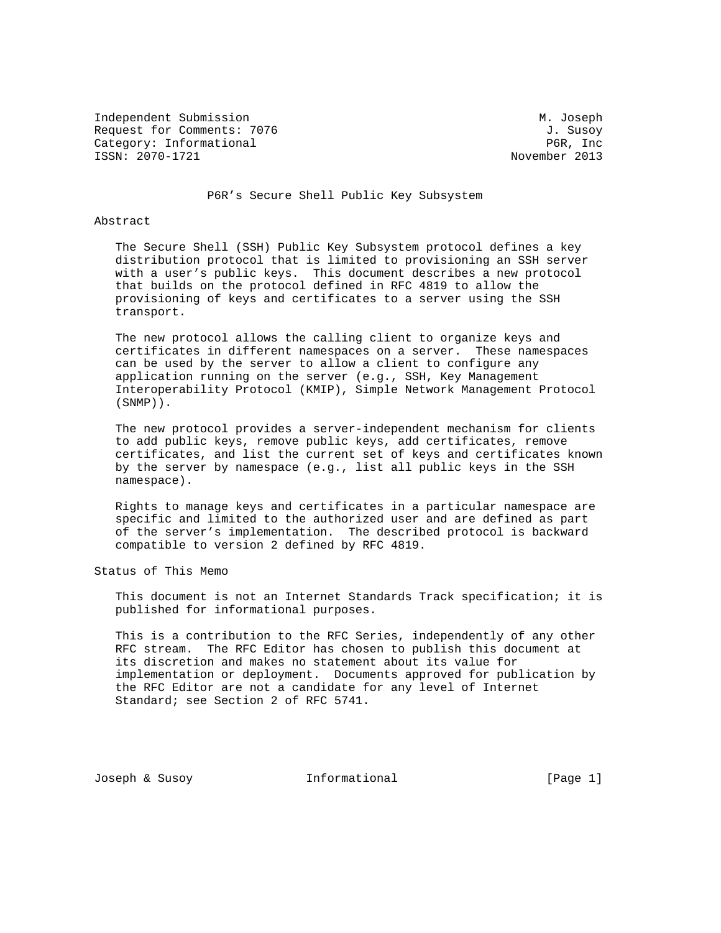Independent Submission M. Joseph Request for Comments: 7076 30 and 7. Susoy Category: Informational P6R, Inc ISSN: 2070-1721 November 2013

P6R's Secure Shell Public Key Subsystem

#### Abstract

 The Secure Shell (SSH) Public Key Subsystem protocol defines a key distribution protocol that is limited to provisioning an SSH server with a user's public keys. This document describes a new protocol that builds on the protocol defined in RFC 4819 to allow the provisioning of keys and certificates to a server using the SSH transport.

 The new protocol allows the calling client to organize keys and certificates in different namespaces on a server. These namespaces can be used by the server to allow a client to configure any application running on the server (e.g., SSH, Key Management Interoperability Protocol (KMIP), Simple Network Management Protocol (SNMP)).

 The new protocol provides a server-independent mechanism for clients to add public keys, remove public keys, add certificates, remove certificates, and list the current set of keys and certificates known by the server by namespace (e.g., list all public keys in the SSH namespace).

 Rights to manage keys and certificates in a particular namespace are specific and limited to the authorized user and are defined as part of the server's implementation. The described protocol is backward compatible to version 2 defined by RFC 4819.

Status of This Memo

 This document is not an Internet Standards Track specification; it is published for informational purposes.

 This is a contribution to the RFC Series, independently of any other RFC stream. The RFC Editor has chosen to publish this document at its discretion and makes no statement about its value for implementation or deployment. Documents approved for publication by the RFC Editor are not a candidate for any level of Internet Standard; see Section 2 of RFC 5741.

Joseph & Susoy **Informational** [Page 1]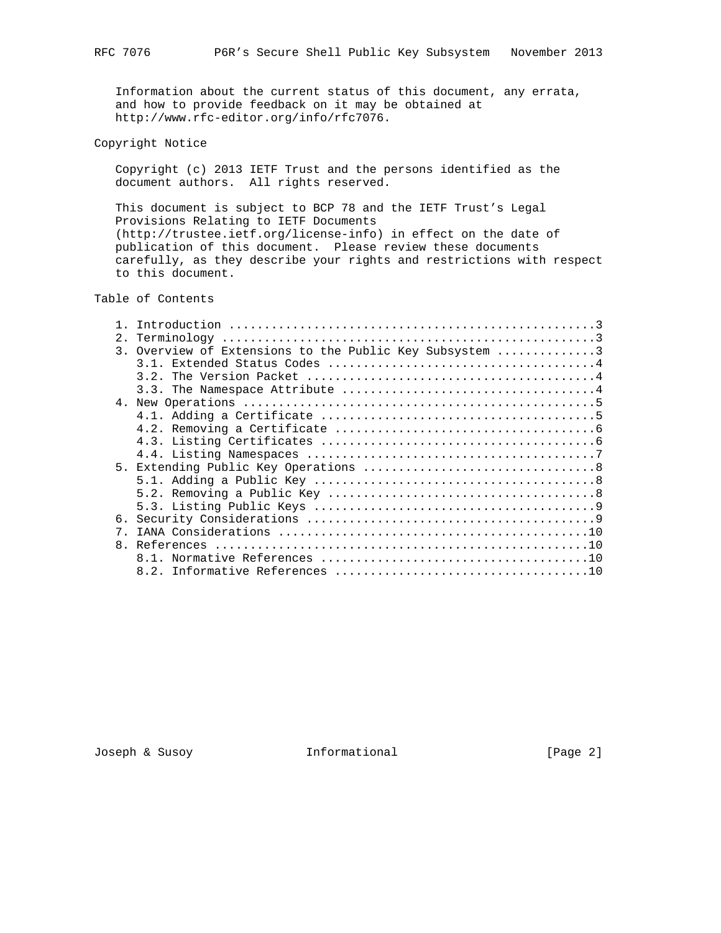Information about the current status of this document, any errata, and how to provide feedback on it may be obtained at http://www.rfc-editor.org/info/rfc7076.

Copyright Notice

 Copyright (c) 2013 IETF Trust and the persons identified as the document authors. All rights reserved.

 This document is subject to BCP 78 and the IETF Trust's Legal Provisions Relating to IETF Documents (http://trustee.ietf.org/license-info) in effect on the date of publication of this document. Please review these documents carefully, as they describe your rights and restrictions with respect to this document.

Table of Contents

| 2.    |                                                         |
|-------|---------------------------------------------------------|
|       | 3. Overview of Extensions to the Public Key Subsystem 3 |
|       |                                                         |
|       |                                                         |
|       |                                                         |
|       |                                                         |
|       |                                                         |
|       |                                                         |
|       |                                                         |
|       |                                                         |
|       |                                                         |
|       |                                                         |
|       |                                                         |
|       |                                                         |
|       |                                                         |
| $7$ . |                                                         |
|       |                                                         |
|       |                                                         |
|       |                                                         |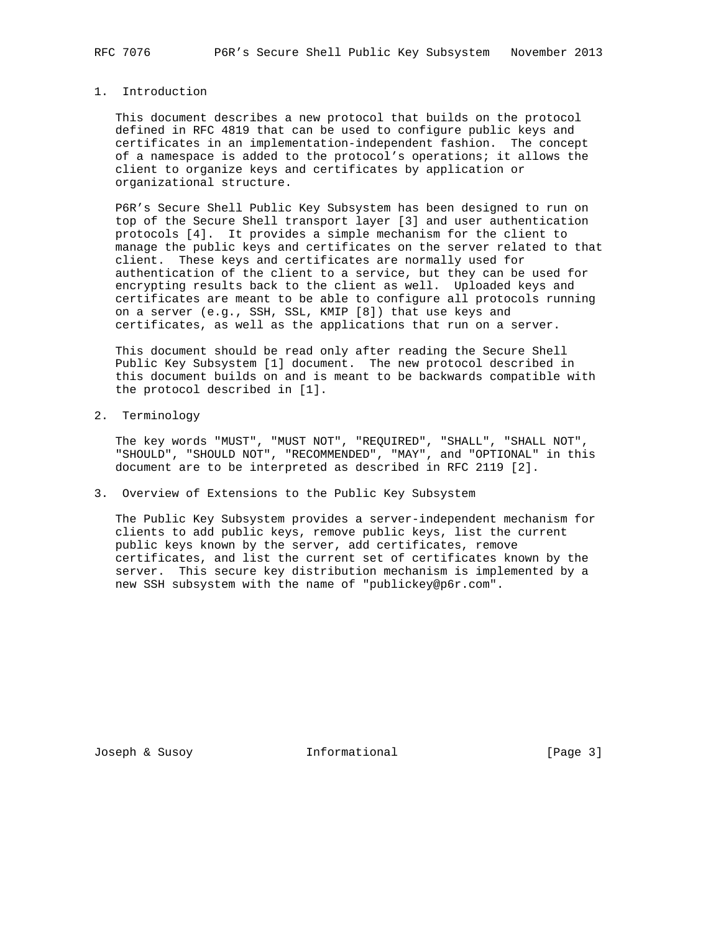# 1. Introduction

 This document describes a new protocol that builds on the protocol defined in RFC 4819 that can be used to configure public keys and certificates in an implementation-independent fashion. The concept of a namespace is added to the protocol's operations; it allows the client to organize keys and certificates by application or organizational structure.

 P6R's Secure Shell Public Key Subsystem has been designed to run on top of the Secure Shell transport layer [3] and user authentication protocols [4]. It provides a simple mechanism for the client to manage the public keys and certificates on the server related to that client. These keys and certificates are normally used for authentication of the client to a service, but they can be used for encrypting results back to the client as well. Uploaded keys and certificates are meant to be able to configure all protocols running on a server (e.g., SSH, SSL, KMIP [8]) that use keys and certificates, as well as the applications that run on a server.

 This document should be read only after reading the Secure Shell Public Key Subsystem [1] document. The new protocol described in this document builds on and is meant to be backwards compatible with the protocol described in [1].

2. Terminology

 The key words "MUST", "MUST NOT", "REQUIRED", "SHALL", "SHALL NOT", "SHOULD", "SHOULD NOT", "RECOMMENDED", "MAY", and "OPTIONAL" in this document are to be interpreted as described in RFC 2119 [2].

3. Overview of Extensions to the Public Key Subsystem

 The Public Key Subsystem provides a server-independent mechanism for clients to add public keys, remove public keys, list the current public keys known by the server, add certificates, remove certificates, and list the current set of certificates known by the server. This secure key distribution mechanism is implemented by a new SSH subsystem with the name of "publickey@p6r.com".

Joseph & Susoy **Informational** [Page 3]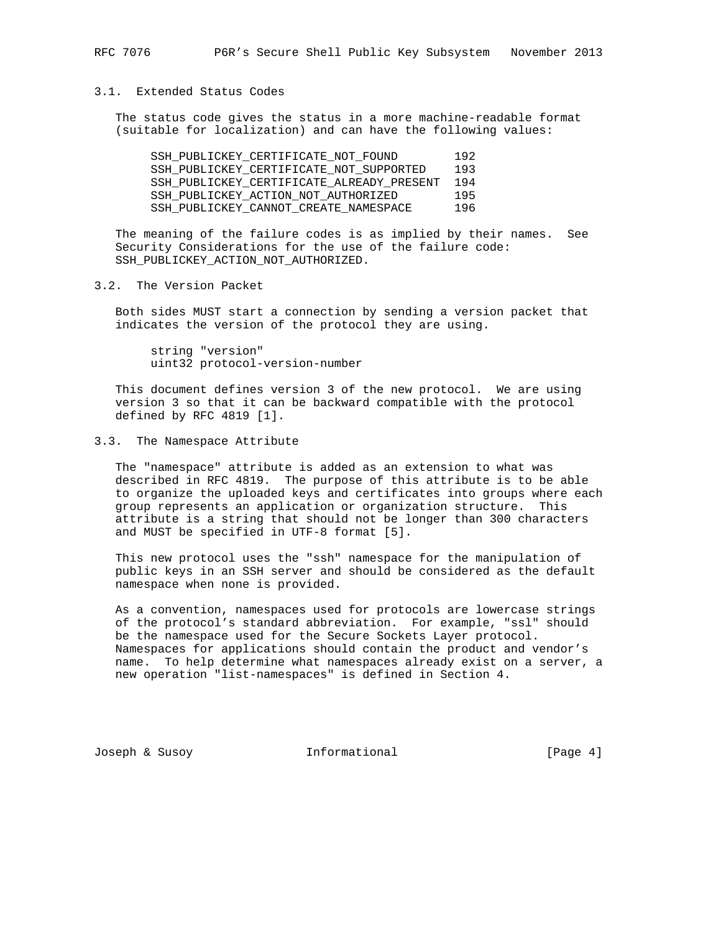## 3.1. Extended Status Codes

 The status code gives the status in a more machine-readable format (suitable for localization) and can have the following values:

| SSH PUBLICKEY CERTIFICATE NOT FOUND       | 192 |
|-------------------------------------------|-----|
| SSH PUBLICKEY CERTIFICATE NOT SUPPORTED   | 193 |
| SSH PUBLICKEY CERTIFICATE ALREADY PRESENT | 194 |
| SSH PUBLICKEY ACTION NOT AUTHORIZED       | 195 |
| SSH PUBLICKEY CANNOT CREATE NAMESPACE     | 196 |

 The meaning of the failure codes is as implied by their names. See Security Considerations for the use of the failure code: SSH\_PUBLICKEY\_ACTION\_NOT\_AUTHORIZED.

3.2. The Version Packet

 Both sides MUST start a connection by sending a version packet that indicates the version of the protocol they are using.

 string "version" uint32 protocol-version-number

 This document defines version 3 of the new protocol. We are using version 3 so that it can be backward compatible with the protocol defined by RFC 4819 [1].

### 3.3. The Namespace Attribute

 The "namespace" attribute is added as an extension to what was described in RFC 4819. The purpose of this attribute is to be able to organize the uploaded keys and certificates into groups where each group represents an application or organization structure. This attribute is a string that should not be longer than 300 characters and MUST be specified in UTF-8 format [5].

 This new protocol uses the "ssh" namespace for the manipulation of public keys in an SSH server and should be considered as the default namespace when none is provided.

 As a convention, namespaces used for protocols are lowercase strings of the protocol's standard abbreviation. For example, "ssl" should be the namespace used for the Secure Sockets Layer protocol. Namespaces for applications should contain the product and vendor's name. To help determine what namespaces already exist on a server, a new operation "list-namespaces" is defined in Section 4.

Joseph & Susoy **Informational** [Page 4]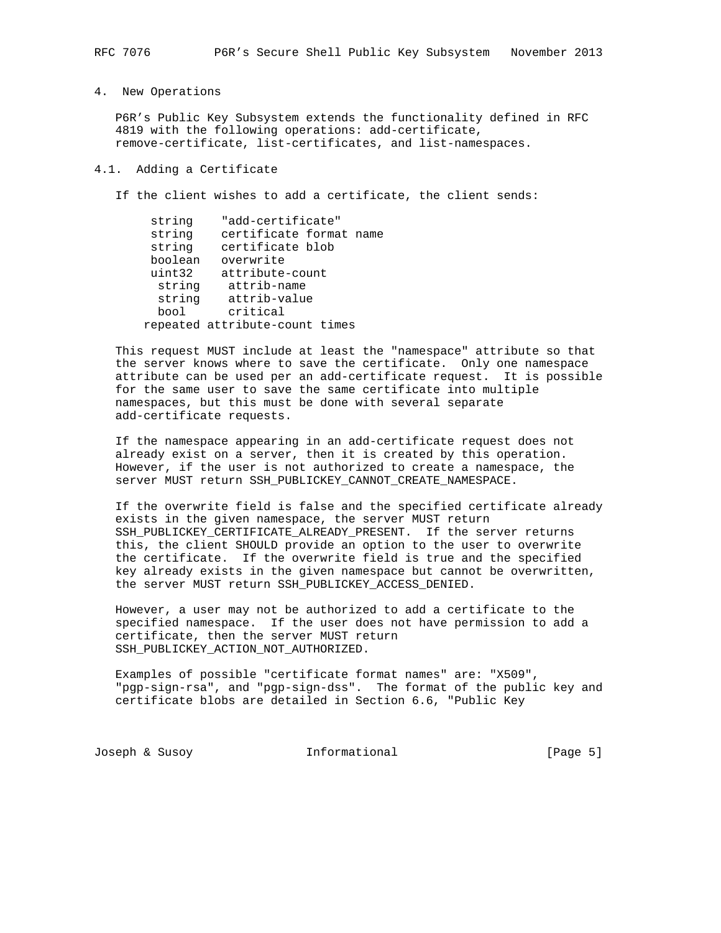P6R's Public Key Subsystem extends the functionality defined in RFC 4819 with the following operations: add-certificate, remove-certificate, list-certificates, and list-namespaces.

#### 4.1. Adding a Certificate

If the client wishes to add a certificate, the client sends:

 string "add-certificate" string certificate format name string certificate blob boolean overwrite uint32 attribute-count string attrib-name string attrib-value bool critical repeated attribute-count times

 This request MUST include at least the "namespace" attribute so that the server knows where to save the certificate. Only one namespace attribute can be used per an add-certificate request. It is possible for the same user to save the same certificate into multiple namespaces, but this must be done with several separate add-certificate requests.

 If the namespace appearing in an add-certificate request does not already exist on a server, then it is created by this operation. However, if the user is not authorized to create a namespace, the server MUST return SSH\_PUBLICKEY\_CANNOT\_CREATE\_NAMESPACE.

 If the overwrite field is false and the specified certificate already exists in the given namespace, the server MUST return SSH\_PUBLICKEY\_CERTIFICATE\_ALREADY\_PRESENT. If the server returns this, the client SHOULD provide an option to the user to overwrite the certificate. If the overwrite field is true and the specified key already exists in the given namespace but cannot be overwritten, the server MUST return SSH\_PUBLICKEY\_ACCESS\_DENIED.

 However, a user may not be authorized to add a certificate to the specified namespace. If the user does not have permission to add a certificate, then the server MUST return SSH\_PUBLICKEY\_ACTION\_NOT\_AUTHORIZED.

 Examples of possible "certificate format names" are: "X509", "pgp-sign-rsa", and "pgp-sign-dss". The format of the public key and certificate blobs are detailed in Section 6.6, "Public Key

Joseph & Susoy **Informational** [Page 5]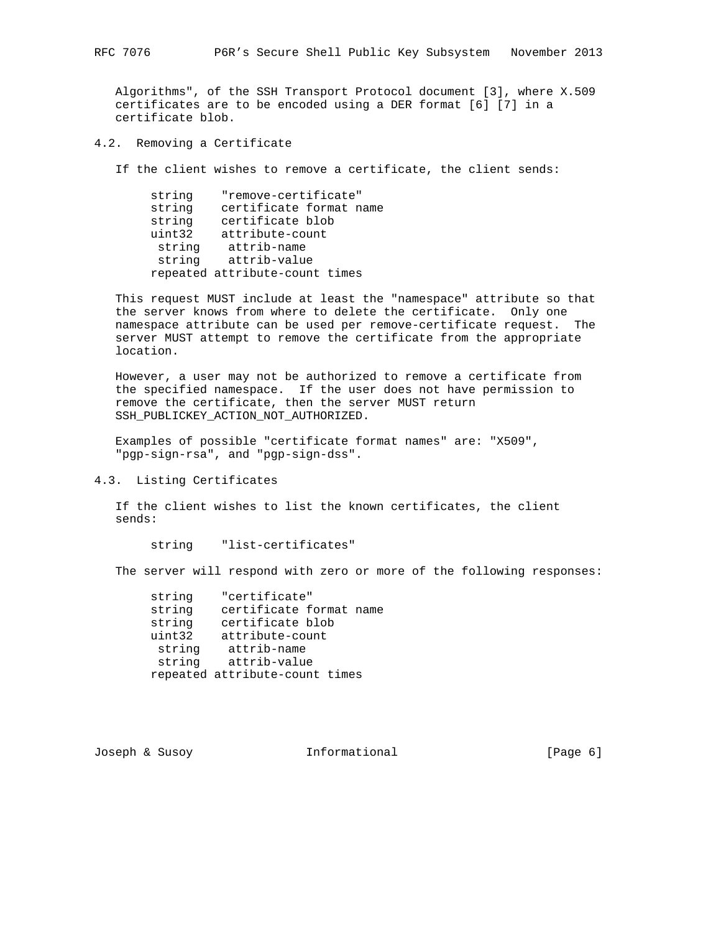Algorithms", of the SSH Transport Protocol document [3], where X.509 certificates are to be encoded using a DER format [6] [7] in a certificate blob.

4.2. Removing a Certificate

If the client wishes to remove a certificate, the client sends:

| string | "remove-certificate"           |
|--------|--------------------------------|
| string | certificate format name        |
| string | certificate blob               |
| uint32 | attribute-count                |
| string | attrib-name                    |
| string | attrib-value                   |
|        | repeated attribute-count times |

 This request MUST include at least the "namespace" attribute so that the server knows from where to delete the certificate. Only one namespace attribute can be used per remove-certificate request. The server MUST attempt to remove the certificate from the appropriate location.

 However, a user may not be authorized to remove a certificate from the specified namespace. If the user does not have permission to remove the certificate, then the server MUST return SSH\_PUBLICKEY\_ACTION\_NOT\_AUTHORIZED.

 Examples of possible "certificate format names" are: "X509", "pgp-sign-rsa", and "pgp-sign-dss".

4.3. Listing Certificates

 If the client wishes to list the known certificates, the client sends:

string "list-certificates"

The server will respond with zero or more of the following responses:

| string | "certificate"                  |
|--------|--------------------------------|
| string | certificate format name        |
| string | certificate blob               |
| uint32 | attribute-count                |
| string | attrib-name                    |
| string | attrib-value                   |
|        | repeated attribute-count times |

Joseph & Susoy **Informational** [Page 6]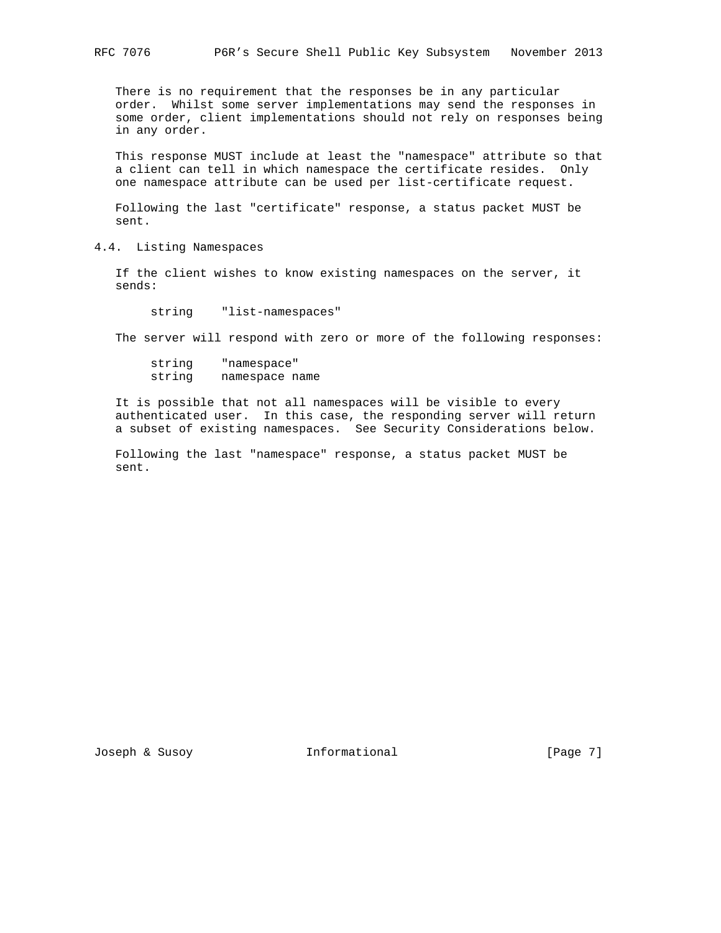There is no requirement that the responses be in any particular order. Whilst some server implementations may send the responses in some order, client implementations should not rely on responses being in any order.

 This response MUST include at least the "namespace" attribute so that a client can tell in which namespace the certificate resides. Only one namespace attribute can be used per list-certificate request.

 Following the last "certificate" response, a status packet MUST be sent.

4.4. Listing Namespaces

 If the client wishes to know existing namespaces on the server, it sends:

string "list-namespaces"

The server will respond with zero or more of the following responses:

| string | "namespace"    |
|--------|----------------|
| string | namespace name |

 It is possible that not all namespaces will be visible to every authenticated user. In this case, the responding server will return a subset of existing namespaces. See Security Considerations below.

 Following the last "namespace" response, a status packet MUST be sent.

Joseph & Susoy **Informational** [Page 7]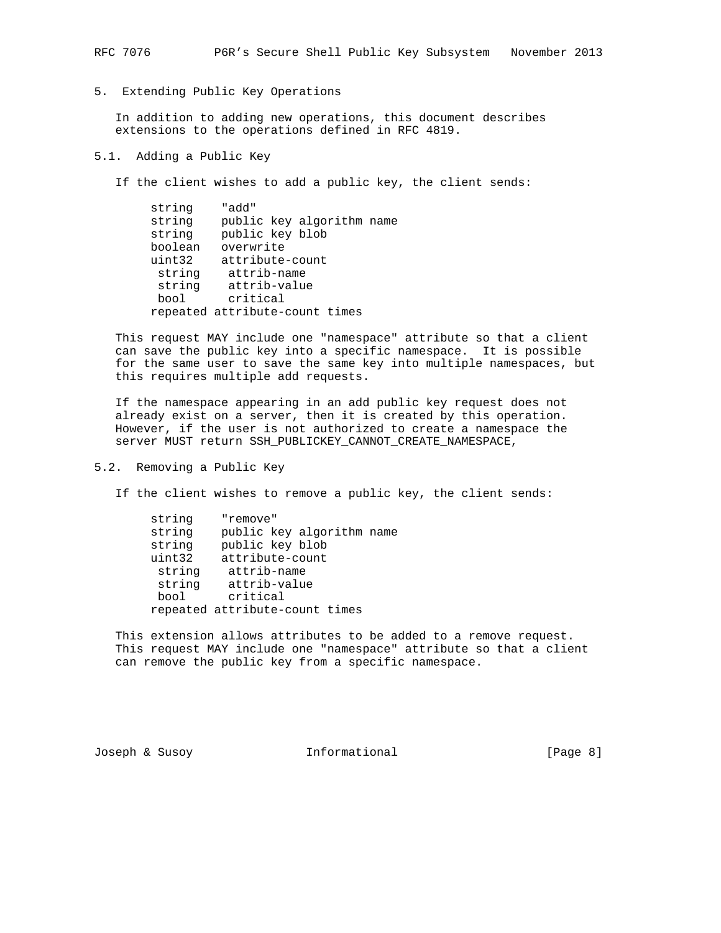5. Extending Public Key Operations

 In addition to adding new operations, this document describes extensions to the operations defined in RFC 4819.

5.1. Adding a Public Key

If the client wishes to add a public key, the client sends:

 string "add" string public key algorithm name string public key blob boolean overwrite uint32 attribute-count string attrib-name string attrib-value<br>bool critical critical repeated attribute-count times

 This request MAY include one "namespace" attribute so that a client can save the public key into a specific namespace. It is possible for the same user to save the same key into multiple namespaces, but this requires multiple add requests.

 If the namespace appearing in an add public key request does not already exist on a server, then it is created by this operation. However, if the user is not authorized to create a namespace the server MUST return SSH\_PUBLICKEY\_CANNOT\_CREATE\_NAMESPACE,

5.2. Removing a Public Key

If the client wishes to remove a public key, the client sends:

| string | "remove"                       |
|--------|--------------------------------|
| string | public key algorithm name      |
| string | public key blob                |
| uint32 | attribute-count                |
| string | attrib-name                    |
| string | attrib-value                   |
| bool   | critical                       |
|        | repeated attribute-count times |
|        |                                |

 This extension allows attributes to be added to a remove request. This request MAY include one "namespace" attribute so that a client can remove the public key from a specific namespace.

Joseph & Susoy **Informational** [Page 8]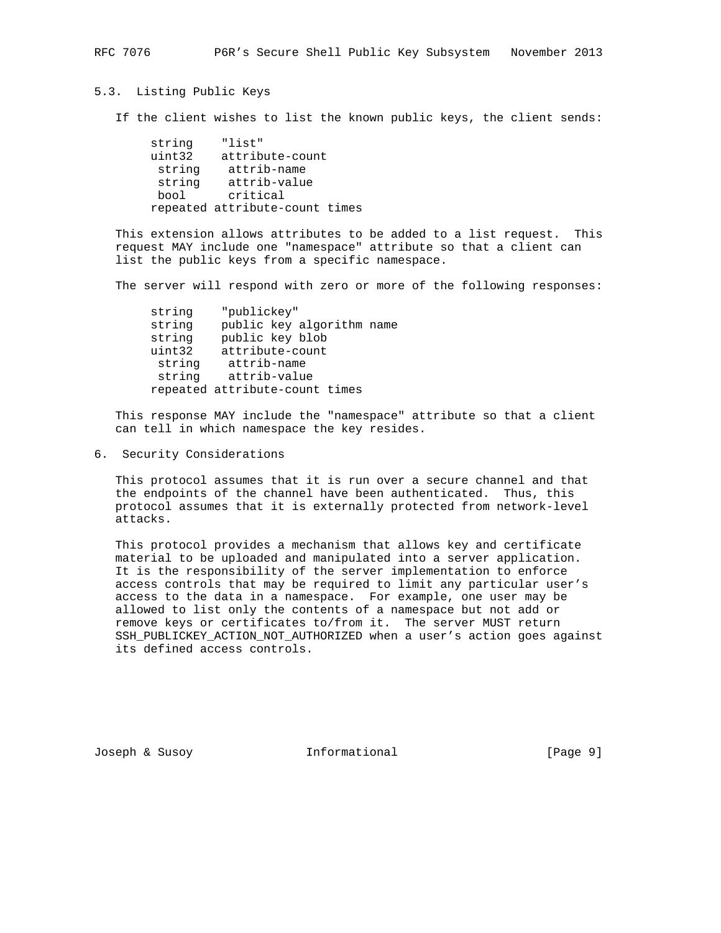#### 5.3. Listing Public Keys

If the client wishes to list the known public keys, the client sends:

 string "list" uint32 attribute-count string attrib-name string attrib-value bool critical repeated attribute-count times

 This extension allows attributes to be added to a list request. This request MAY include one "namespace" attribute so that a client can list the public keys from a specific namespace.

The server will respond with zero or more of the following responses:

 string "publickey" string public key algorithm name string public key blob uint32 attribute-count string attrib-name string attrib-value repeated attribute-count times

 This response MAY include the "namespace" attribute so that a client can tell in which namespace the key resides.

6. Security Considerations

 This protocol assumes that it is run over a secure channel and that the endpoints of the channel have been authenticated. Thus, this protocol assumes that it is externally protected from network-level attacks.

 This protocol provides a mechanism that allows key and certificate material to be uploaded and manipulated into a server application. It is the responsibility of the server implementation to enforce access controls that may be required to limit any particular user's access to the data in a namespace. For example, one user may be allowed to list only the contents of a namespace but not add or remove keys or certificates to/from it. The server MUST return SSH\_PUBLICKEY\_ACTION\_NOT\_AUTHORIZED when a user's action goes against its defined access controls.

Joseph & Susoy **Informational** [Page 9]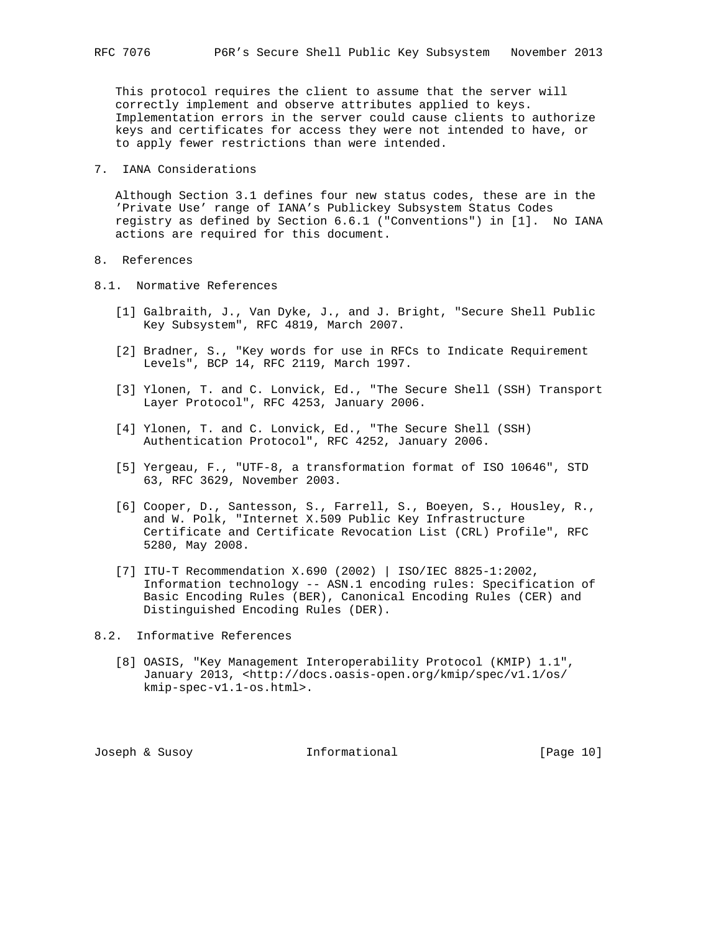This protocol requires the client to assume that the server will correctly implement and observe attributes applied to keys. Implementation errors in the server could cause clients to authorize keys and certificates for access they were not intended to have, or to apply fewer restrictions than were intended.

7. IANA Considerations

 Although Section 3.1 defines four new status codes, these are in the 'Private Use' range of IANA's Publickey Subsystem Status Codes registry as defined by Section 6.6.1 ("Conventions") in [1]. No IANA actions are required for this document.

- 8. References
- 8.1. Normative References
	- [1] Galbraith, J., Van Dyke, J., and J. Bright, "Secure Shell Public Key Subsystem", RFC 4819, March 2007.
	- [2] Bradner, S., "Key words for use in RFCs to Indicate Requirement Levels", BCP 14, RFC 2119, March 1997.
	- [3] Ylonen, T. and C. Lonvick, Ed., "The Secure Shell (SSH) Transport Layer Protocol", RFC 4253, January 2006.
	- [4] Ylonen, T. and C. Lonvick, Ed., "The Secure Shell (SSH) Authentication Protocol", RFC 4252, January 2006.
	- [5] Yergeau, F., "UTF-8, a transformation format of ISO 10646", STD 63, RFC 3629, November 2003.
	- [6] Cooper, D., Santesson, S., Farrell, S., Boeyen, S., Housley, R., and W. Polk, "Internet X.509 Public Key Infrastructure Certificate and Certificate Revocation List (CRL) Profile", RFC 5280, May 2008.
	- [7] ITU-T Recommendation X.690 (2002) | ISO/IEC 8825-1:2002, Information technology -- ASN.1 encoding rules: Specification of Basic Encoding Rules (BER), Canonical Encoding Rules (CER) and Distinguished Encoding Rules (DER).
- 8.2. Informative References
	- [8] OASIS, "Key Management Interoperability Protocol (KMIP) 1.1", January 2013, <http://docs.oasis-open.org/kmip/spec/v1.1/os/ kmip-spec-v1.1-os.html>.

Joseph & Susoy **Informational** [Page 10]